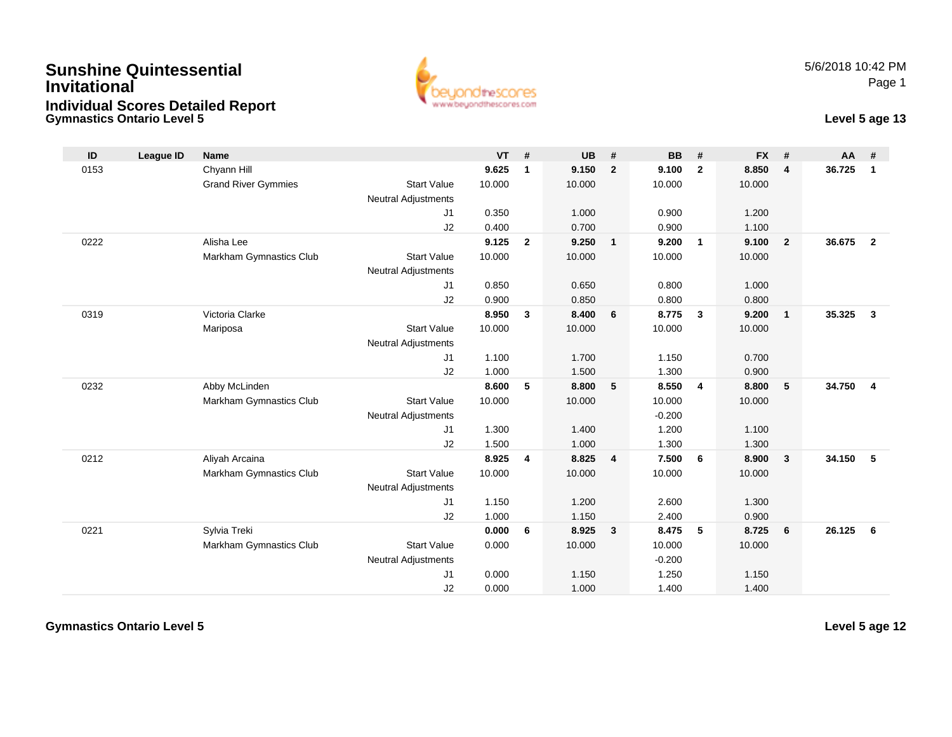## **Gymnastics Ontario Level 5Sunshine QuintessentialInvitationalIndividual Scores Detailed Report**



## **Level 5 age 13**

| ID   | League ID | <b>Name</b>                |                            | $VT$ # |                | <b>UB</b> | #              | <b>BB</b> | #              | <b>FX</b> | #              | <b>AA</b> | #                       |
|------|-----------|----------------------------|----------------------------|--------|----------------|-----------|----------------|-----------|----------------|-----------|----------------|-----------|-------------------------|
| 0153 |           | Chyann Hill                |                            | 9.625  | $\mathbf{1}$   | 9.150     | $\overline{2}$ | 9.100     | $\overline{2}$ | 8.850     | $\overline{4}$ | 36.725    | $\mathbf{1}$            |
|      |           | <b>Grand River Gymmies</b> | <b>Start Value</b>         | 10.000 |                | 10.000    |                | 10.000    |                | 10.000    |                |           |                         |
|      |           |                            | <b>Neutral Adjustments</b> |        |                |           |                |           |                |           |                |           |                         |
|      |           |                            | J1                         | 0.350  |                | 1.000     |                | 0.900     |                | 1.200     |                |           |                         |
|      |           |                            | J2                         | 0.400  |                | 0.700     |                | 0.900     |                | 1.100     |                |           |                         |
| 0222 |           | Alisha Lee                 |                            | 9.125  | $\overline{2}$ | 9.250     | $\mathbf{1}$   | 9.200     | $\overline{1}$ | 9.100     | $\overline{2}$ | 36.675    | $\overline{2}$          |
|      |           | Markham Gymnastics Club    | <b>Start Value</b>         | 10.000 |                | 10.000    |                | 10.000    |                | 10.000    |                |           |                         |
|      |           |                            | <b>Neutral Adjustments</b> |        |                |           |                |           |                |           |                |           |                         |
|      |           |                            | J1                         | 0.850  |                | 0.650     |                | 0.800     |                | 1.000     |                |           |                         |
|      |           |                            | J2                         | 0.900  |                | 0.850     |                | 0.800     |                | 0.800     |                |           |                         |
| 0319 |           | Victoria Clarke            |                            | 8.950  | 3              | 8.400     | 6              | 8.775     | $\mathbf{3}$   | 9.200     | $\overline{1}$ | 35.325    | $\mathbf{3}$            |
|      |           | Mariposa                   | <b>Start Value</b>         | 10.000 |                | 10.000    |                | 10.000    |                | 10.000    |                |           |                         |
|      |           |                            | <b>Neutral Adjustments</b> |        |                |           |                |           |                |           |                |           |                         |
|      |           |                            | J1                         | 1.100  |                | 1.700     |                | 1.150     |                | 0.700     |                |           |                         |
|      |           |                            | J2                         | 1.000  |                | 1.500     |                | 1.300     |                | 0.900     |                |           |                         |
| 0232 |           | Abby McLinden              |                            | 8.600  | 5              | 8.800     | 5              | 8.550     | $\overline{4}$ | 8.800     | 5              | 34.750    | $\overline{\mathbf{4}}$ |
|      |           | Markham Gymnastics Club    | <b>Start Value</b>         | 10.000 |                | 10.000    |                | 10.000    |                | 10.000    |                |           |                         |
|      |           |                            | <b>Neutral Adjustments</b> |        |                |           |                | $-0.200$  |                |           |                |           |                         |
|      |           |                            | J1                         | 1.300  |                | 1.400     |                | 1.200     |                | 1.100     |                |           |                         |
|      |           |                            | J2                         | 1.500  |                | 1.000     |                | 1.300     |                | 1.300     |                |           |                         |
| 0212 |           | Aliyah Arcaina             |                            | 8.925  | 4              | 8.825     | 4              | 7.500     | 6              | 8.900     | $\mathbf{3}$   | 34.150    | 5                       |
|      |           | Markham Gymnastics Club    | <b>Start Value</b>         | 10.000 |                | 10.000    |                | 10.000    |                | 10.000    |                |           |                         |
|      |           |                            | <b>Neutral Adjustments</b> |        |                |           |                |           |                |           |                |           |                         |
|      |           |                            | J1                         | 1.150  |                | 1.200     |                | 2.600     |                | 1.300     |                |           |                         |
|      |           |                            | J2                         | 1.000  |                | 1.150     |                | 2.400     |                | 0.900     |                |           |                         |
| 0221 |           | Sylvia Treki               |                            | 0.000  | 6              | 8.925     | $\mathbf{3}$   | 8.475     | 5              | 8.725     | 6              | 26.125    | 6                       |
|      |           | Markham Gymnastics Club    | <b>Start Value</b>         | 0.000  |                | 10.000    |                | 10.000    |                | 10.000    |                |           |                         |
|      |           |                            | <b>Neutral Adjustments</b> |        |                |           |                | $-0.200$  |                |           |                |           |                         |
|      |           |                            | J1                         | 0.000  |                | 1.150     |                | 1.250     |                | 1.150     |                |           |                         |
|      |           |                            | J2                         | 0.000  |                | 1.000     |                | 1.400     |                | 1.400     |                |           |                         |

**Gymnastics Ontario Level 5**

**Level 5 age 12**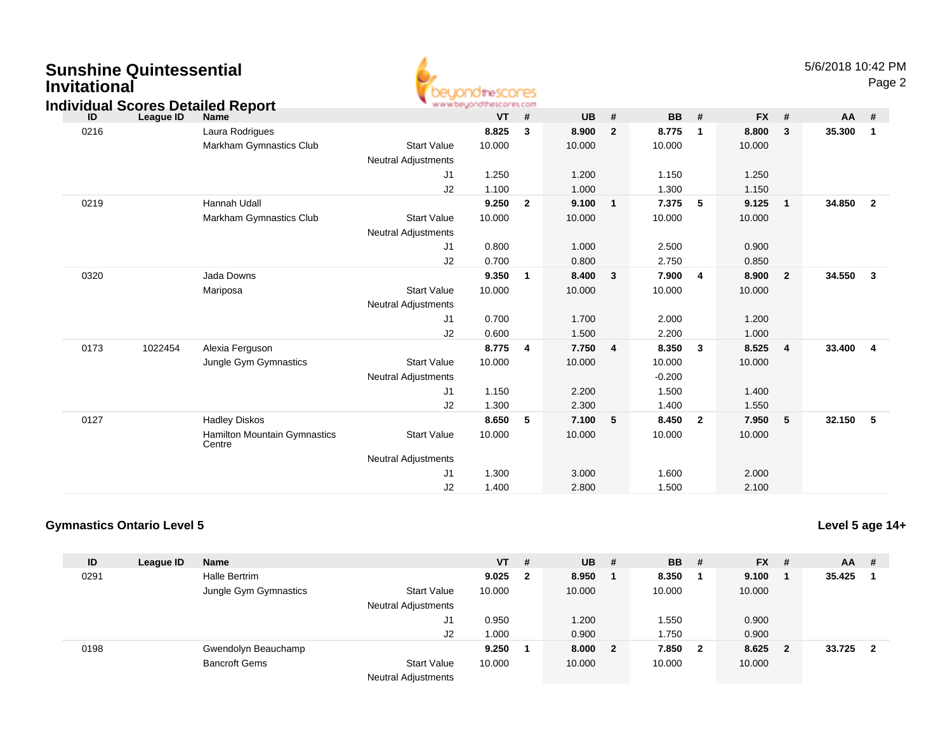| <b>Sunshine Quintessential</b> |  |
|--------------------------------|--|
| Invitational                   |  |



## **ID League ID Name VT # UB # BB # FX # AA #** 0216 Laura Rodrigues **8.825 <sup>3</sup> 8.900 <sup>2</sup> 8.775 <sup>1</sup> 8.800 <sup>3</sup> 35.300 <sup>1</sup>** Markham Gymnastics Clubb 3tart Value 10.000 10.000 10.000 10.000 10.000 Neutral Adjustments J1 1.250 1.200 1.150 1.250 J22 1.100 1.000 1.300 1.150 0219 Hannah Udall **9.250 <sup>2</sup> 9.100 <sup>1</sup> 7.375 <sup>5</sup> 9.125 <sup>1</sup> 34.850 <sup>2</sup>** Markham Gymnastics Clubb 3tart Value 10.000 10.000 10.000 10.000 10.000 Neutral Adjustments J1 0.800 1.000 2.500 0.900 J2 0.700 0.800 2.750 0.850 0320 Jada Downs **9.350 <sup>1</sup> 8.400 <sup>3</sup> 7.900 <sup>4</sup> 8.900 <sup>2</sup> 34.550 <sup>3</sup>** Mariposa Start Value 10.000 10.000 10.000 10.000 Neutral Adjustments J1 0.700 1.700 2.000 1.200 J2 0.600 1.500 2.200 1.000 0173 <sup>1022454</sup> Alexia Ferguson **8.775 <sup>4</sup> 7.750 <sup>4</sup> 8.350 <sup>3</sup> 8.525 <sup>4</sup> 33.400 <sup>4</sup>** Jungle Gym Gymnastics Start Valuee 10.000 10.000 10.000 10.000 Neutral Adjustments $-0.200$ 1.500 J1 1.150 2.200 1.500 1.400 J2 1.300 2.300 1.400 1.550 0127 Hadley Diskos **8.650 <sup>5</sup> 7.100 <sup>5</sup> 8.450 <sup>2</sup> 7.950 <sup>5</sup> 32.150 <sup>5</sup>** Hamilton Mountain Gymnastics**Centre** Start Valuee 10.000 10.000 10.000 10.000 Neutral Adjustments J1 1.300 3.000 1.600 2.000 J2 1.400 2.800 1.500 2.100 **Individual Scores Detailed Report**

## **Gymnastics Ontario Level 5**

**Level 5 age 14+**

| ID   | League ID | <b>Name</b>           |                            | $VT$ # |                         | <b>UB</b> | - # | <b>BB</b> | #                       | <b>FX</b> | # | $AA$ # |   |
|------|-----------|-----------------------|----------------------------|--------|-------------------------|-----------|-----|-----------|-------------------------|-----------|---|--------|---|
| 0291 |           | Halle Bertrim         |                            | 9.025  | $\overline{\mathbf{2}}$ | 8.950     |     | 8.350     |                         | 9.100     |   | 35.425 |   |
|      |           | Jungle Gym Gymnastics | <b>Start Value</b>         | 10.000 |                         | 10.000    |     | 10.000    |                         | 10.000    |   |        |   |
|      |           |                       | <b>Neutral Adjustments</b> |        |                         |           |     |           |                         |           |   |        |   |
|      |           |                       | J1                         | 0.950  |                         | 1.200     |     | 1.550     |                         | 0.900     |   |        |   |
|      |           |                       | J2                         | 000.1  |                         | 0.900     |     | 1.750     |                         | 0.900     |   |        |   |
| 0198 |           | Gwendolyn Beauchamp   |                            | 9.250  |                         | 8.000 2   |     | 7.850     | $\overline{\mathbf{2}}$ | 8.625     | 2 | 33.725 | 2 |
|      |           | <b>Bancroft Gems</b>  | <b>Start Value</b>         | 10.000 |                         | 10.000    |     | 10.000    |                         | 10.000    |   |        |   |
|      |           |                       | <b>Neutral Adjustments</b> |        |                         |           |     |           |                         |           |   |        |   |